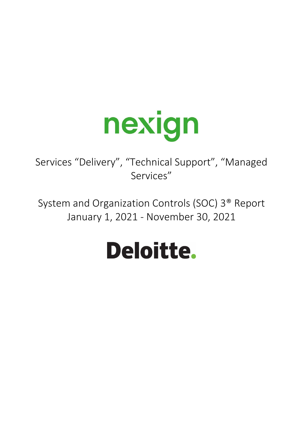

Services "Delivery", "Technical Support", "Managed Services"

System and Organization Controls (SOC) 3® Report January 1, 2021 ‐ November 30, 2021

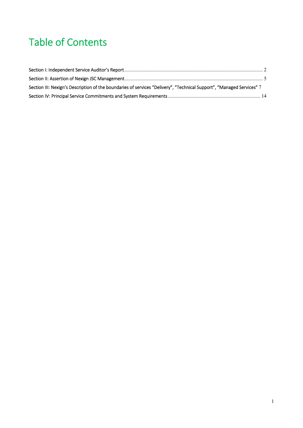# Table of Contents

| Section III: Nexign's Description of the boundaries of services "Delivery", "Technical Support", "Managed Services" 7 |  |
|-----------------------------------------------------------------------------------------------------------------------|--|
|                                                                                                                       |  |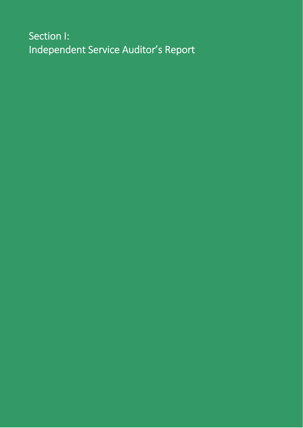# Section I: Independent Service Auditor's Report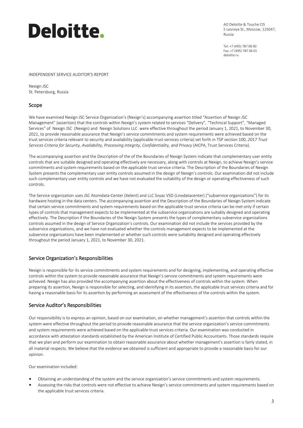# Deloitte.

AO Deloitte & Touche CIS 5 Lesnaya St., Moscow, 125047, Russia

Tel: +7 (495) 787 06 00 Fax: +7 (495) 787 06 01 deloitte.ru

#### INDEPENDENT SERVICE AUDITOR'S REPORT

Nexign JSC St. Petersburg, Russia

### Scope

We have examined Nexign JSC Service Organization's (Nexign's) accompanying assertion titled "Assertion of Nexign JSC Management" (assertion) that the controls within Nexign's system related to services "Delivery", "Technical Support", "Managed Services" of Nexign JSC (Nexign) and Nexign Solutions LLC were effective throughout the period January 1, 2021, to November 30, 2021, to provide reasonable assurance that Nexign's service commitments and system requirements were achieved based on the trust services criteria relevant to security and availability (applicable trust services criteria) set forth in TSP section 100, *2017 Trust Services Criteria for Security, Availability, Processing Integrity, Confidentiality, and Privacy* (AICPA, Trust Services Criteria).

The accompanying assertion and the Description of the of the Boundaries of Nexign System indicate that complementary user entity controls that are suitable designed and operating effectively are necessary, along with controls at Nexign, to achieve Nexign's service commitments and system requirements based on the applicable trust service criteria. The Description of the Boundaries of Nexign System presents the complementary user entity controls assumed in the design of Nexign's controls. Our examination did not include such complementary user entity controls and we have not evaluated the suitability of the design or operating effectiveness of such controls.

The Service organization uses JSC Atomdata‐Center (Xelent) and LLC Svyaz VSD (Linxdatacenter) ("subservice organizations") for its hardware hosting in the data centers. The accompanying assertion and the Description of the Boundaries of Nexign System indicate that certain service commitments and system requirements based on the applicable trust service criteria can be met only if certain types of controls that management expects to be implemented at the subservice organizations are suitably designed and operating effectively. The Description if the Boundaries of the Nexign System presents the types of complementary subservice organizations controls assumed in the design of Service Organization's controls. Our examination did not include the services provided by the subservice organizations, and we have not evaluated whether the controls management expects to be implemented at the subservice organizations have been implemented or whether such controls were suitability designed and operating effectively throughout the period January 1, 2021, to November 30, 2021.

### Service Organization's Responsibilities

Nexign is responsible for its service commitments and system requirements and for designing, implementing, and operating effective controls within the system to provide reasonable assurance that Nexign's service commitments and system requirements were achieved. Nexign has also provided the accompanying assertion about the effectiveness of controls within the system. When preparing its assertion, Nexign is responsible for selecting, and identifying in its assertion, the applicable trust services criteria and for having a reasonable basis for its assertion by performing an assessment of the effectiveness of the controls within the system.

### Service Auditor's Responsibilities

Our responsibility is to express an opinion, based on our examination, on whether management's assertion that controls within the system were effective throughout the period to provide reasonable assurance that the service organization's service commitments and system requirements were achieved based on the applicable trust services criteria. Our examination was conducted in accordance with attestation standards established by the American Institute of Certified Public Accountants. Those standards require that we plan and perform our examination to obtain reasonable assurance about whether management's assertion is fairly stated, in all material respects. We believe that the evidence we obtained is sufficient and appropriate to provide a reasonable basis for our opinion.

Our examination included:

- Obtaining an understanding of the system and the service organization's service commitments and system requirements.
- Assessing the risks that controls were not effective to achieve Nexign's service commitments and system requirements based on the applicable trust services criteria.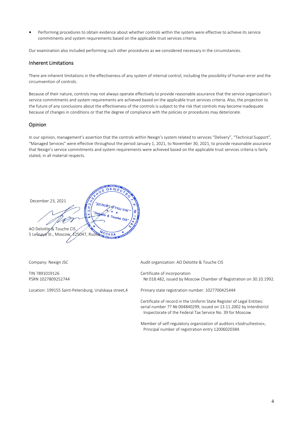• Performing procedures to obtain evidence about whether controls within the system were effective to achieve its service commitments and system requirements based on the applicable trust services criteria.

Our examination also included performing such other procedures as we considered necessary in the circumstances.

#### Inherent Limitations

There are inherent limitations in the effectiveness of any system of internal control, including the possibility of human error and the circumvention of controls.

Because of their nature, controls may not always operate effectively to provide reasonable assurance that the service organization's service commitments and system requirements are achieved based on the applicable trust services criteria. Also, the projection to the future of any conclusions about the effectiveness of the controls is subject to the risk that controls may become inadequate because of changes in conditions or that the degree of compliance with the policies or procedures may deteriorate.

#### Opinion

In our opinion, management's assertion that the controls within Nexign's system related to services "Delivery", "Technical Support", "Managed Services" were effective throughout the period January 1, 2021, to November 30, 2021, to provide reasonable assurance that Nexign's service commitments and system requirements were achieved based on the applicable trust services criteria is fairly stated, in all material respects.

December 23, 2021 AO Deloitte & Touche CIS MOCKBA 5 Lesnaya St., Moscow, 125047, Russia

Company: Nexign JSC

TIN 7891019126 PSRN 1027809252744

Location: 199155 Saint‐Petersburg, Uralskaya street,4

Audit organization: AO Deloitte & Touche CIS

Certificate of incorporation № 018.482, issued by Moscow Chamber of Registration on 30.10.1992.

Primary state registration number: 1027700425444

Certificate of record in the Uniform State Register of Legal Entities: serial number 77 № 004840299, issued on 13.11.2002 by Interdistrict Inspectorate of the Federal Tax Service No. 39 for Moscow

Member of self‐regulatory organization of auditors «Sodruzhestvo», Principal number of registration entry 12006020384.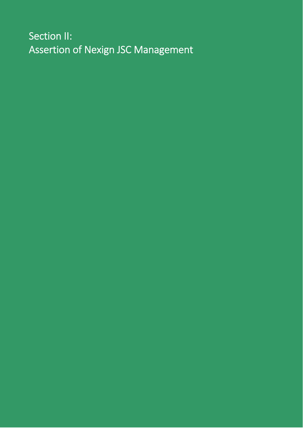Section II: Assertion of Nexign JSC Management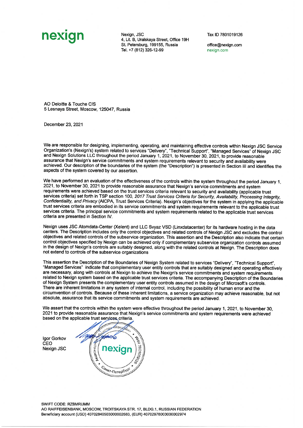# nexian

Nexign, JSC 4, Lit. B, Uralskaya Street, Office 19H St. Petersburg, 199155. Russia Tel. +7 (812) 326-12-99

Tax ID 7801019126

office@nexign.com nexign.com

AO Deloitte & Touche CIS 5 Lesnaya Street, Moscow, 125047, Russia

December 23, 2021

We are responsible for designing, implementing, operating, and maintaining effective controls within Nexign JSC Service Organization's (Nexign's) system related to services "Delivery", "Technical Support", "Managed Services" of Nexign JSC<br>and Nexign Solutions LLC throughout the period January 1, 2021, to November 30, 2021, to provide reason assurance that Nexign's service commitments and system requirements relevant to security and availability were achieved. Our description of the boundaries of the system (the "Description") is presented in Section III and identifies the aspects of the system covered by our assertion.

We have performed an evaluation of the effectiveness of the controls within the system throughout the period January 1. 2021, to November 30, 2021 to provide reasonable assurance that Nexign's service commitments and system requirements were achieved based on the trust services criteria relevant to security and availability (applicable trust services criteria) set forth in TSP section 100, 2017 Trust Services Criteria for Security, Availability, Processing Integrity, Confidentiality, and Privacy (AICPA, Trust Services Criteria). Nexign's objectives for the system in applying the applicable trust services criteria are embodied in its service commitments and system requirements relevant to the applicable trust services criteria. The principal service commitments and system requirements related to the applicable trust services criteria are presented in Section IV.

Nexign uses JSC Atomdata-Center (Xelent) and LLC Svyaz VSD (Linxdatacenter) for its hardware hosting in the data centers. The Description includes only the control objectives and related controls of Nexign JSC and excludes the control objectives and related controls of the subservice organization. This assertion and the Description also indicate that certain control objectives specified by Nexign can be achieved only if complementary subservice organization controls assumed in the design of Nexign's controls are suitably designed, along with the related controls at Nexign. The Description does not extend to controls of the subservice organizations

This assertion the Description of the Boundaries of Nexign System related to services "Delivery", "Technical Support". "Managed Services" indicate that complementary user entity controls that are suitably designed and operating effectively are necessary, along with controls at Nexign to achieve the Nexign's service commitments and system requirements related to Nexign system based on the applicable trust services criteria. The accompanying Description of the Boundaries of Nexign System presents the complementary user entity controls assumed in the design of Microsoft's controls. There are inherent limitations in any system of internal control, including the possibility of human error and the circumvention of controls. Because of these inherent limitations, a service organization may achieve reasonable, but not absolute, assurance that its service commitments and system requirements are achieved.

We assert that the controls within the system were effective throughout the period January 1, 2021, to November 30, 2021 to provide reasonable assurance that Nexign's service commitments and system requirements were achieved based on the applicable trust services criteria

laor Gorkov CFO **Nexign JSC** 

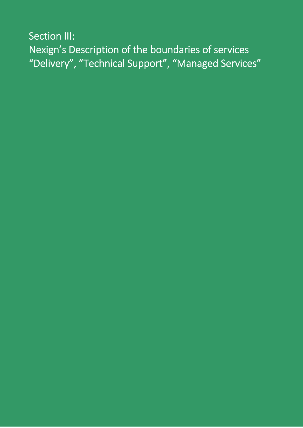Section III: Nexign's Description of the boundaries of services "Delivery", "Technical Support", "Managed Services"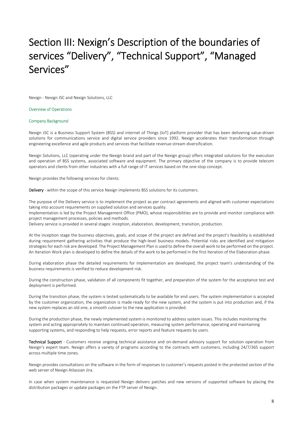## Section III: Nexign's Description of the boundaries of services "Delivery", "Technical Support", "Managed Services"

Nexign ‐ Nexign JSC and Nexign Solutions, LLC

#### Overview of Operations

#### Company Background

Nexign JSC is a Business Support System (BSS) and internet of Things (IoT) platform provider that has been delivering value‐driven solutions for communications service and digital service providers since 1992. Nexign accelerates their transformation through engineering excellence and agile products and services that facilitate revenue‐stream diversification.

Nexign Solutions, LLC (operating under the Nexign brand and part of the Nexign group) offers integrated solutions for the execution and operation of BSS systems, associated software and equipment. The primary objective of the company is to provide telecom operators and clients from other industries with a full range of IT services based on the one‐stop concept.

Nexign provides the following services for clients:

Delivery - within the scope of this service Nexign implements BSS solutions for its customers.

The purpose of the Delivery service is to implement the project as per contract agreements and aligned with customer expectations taking into account requirements on supplied solution and services quality.

Implementation is led by the Project Management Office (PMO), whose responsibilities are to provide and monitor compliance with project management processes, policies and methods.

Delivery service is provided in several stages: inception, elaboration, development, transition, production.

At the inception stage the business objectives, goals, and scope of the project are defined and the project's feasibility is established during requirement gathering activities that produce the high-level business models. Potential risks are identified and mitigation strategiesfor each risk are developed. The Project Management Plan is used to define the overall work to be performed on the project. An Iteration Work plan is developed to define the details of the work to be performed in the first Iteration of the Elaboration phase.

During elaboration phase the detailed requirements for implementation are developed, the project team's understanding of the business requirements is verified to reduce development risk.

During the construction phase, validation of all components fit together, and preparation of the system for the acceptance test and deployment is performed.

During the transition phase, the system is tested systematically to be available for end users. The system implementation is accepted by the customer organization, the organization is made ready for the new system, and the system is put into production and, if the new system replaces an old one, a smooth cutover to the new application is provided.

During the production phase, the newly implemented system is monitored to address system issues. This includes monitoring the system and acting appropriately to maintain continued operation, measuring system performance, operating and maintaining supporting systems, and responding to help requests, error reports and feature requests by users.

Technical Support - Customers receive ongoing technical assistance and on-demand advisory support for solution operation from Nexign's expert team. Nexign offers a variety of programs according to the contracts with customers, including 24/7/365 support across multiple time zones.

Nexign provides consultations on the software in the form of responses to customer's requests posted in the protected section of the web server of Nexign Atlassian Jira.

In case when system maintenance is requested Nexign delivers patches and new versions of supported software by placing the distribution packages or update packages on the FTP server of Nexign.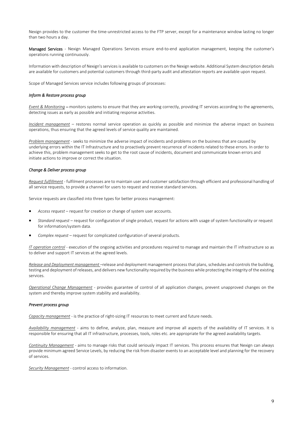Nexign provides to the customer the time‐unrestricted access to the FTP server, except for a maintenance window lasting no longer than two hours a day.

Managed Services - Nexign Managed Operations Services ensure end-to-end application management, keeping the customer's operations running continuously.

Information with description of Nexign'sservices is available to customers on the Nexign website. Additional System description details are available for customers and potential customers through third-party audit and attestation reports are available upon request.

Scope of Managed Services service includes following groups of processes:

#### *Inform & Restore process group*

*Event & Monitoring* – monitors systems to ensure that they are working correctly, providing IT services according to the agreements, detecting issues as early as possible and initiating response activities.

*Incident management* – restores normal service operation as quickly as possible and minimize the adverse impact on business operations, thus ensuring that the agreed levels of service quality are maintained.

*Problem management* ‐ seeks to minimize the adverse impact of incidents and problems on the business that are caused by underlying errors within the IT Infrastructure and to proactively prevent recurrence of incidents related to these errors. In order to achieve this, problem management seeks to get to the root cause of incidents, document and communicate known errors and initiate actions to improve or correct the situation.

#### *Change & Deliver process group*

*Request fulfillment* ‐ fulfilment processes are to maintain user and customer satisfaction through efficient and professional handling of all service requests, to provide a channel for users to request and receive standard services.

Service requests are classified into three types for better process management:

- *Access request* request for creation or change of system user accounts.
- *Standard request* request for configuration of single product, request for actions with usage of system functionality or request for information/system data.
- *Complex request* request for complicated configuration of several products.

*IT operation control* ‐ execution of the ongoing activities and procedures required to manage and maintain the IT infrastructure so as to deliver and support IT services at the agreed levels.

*Release and Deployment management* –release and deployment management process that plans, schedules and controls the building, testing and deployment of releases, and delivers newfunctionality required by the businesswhile protecting the integrity of the existing services.

*Operational Change Management* ‐ provides guarantee of control of all application changes, prevent unapproved changes on the system and thereby improve system stability and availability.

#### *Prevent process group*

*Capacity management ‐* is the practice of right‐sizing IT resources to meet current and future needs.

*Availability management* ‐ aims to define, analyze, plan, measure and improve all aspects of the availability of IT services. It is responsible for ensuring that all IT infrastructure, processes, tools, roles etc. are appropriate for the agreed availability targets.

*Continuity Management* ‐ aims to manage risks that could seriously impact IT services. This process ensures that Nexign can always provide minimum agreed Service Levels, by reducing the risk from disaster events to an acceptable level and planning for the recovery of services.

*Security Management* ‐ control access to information.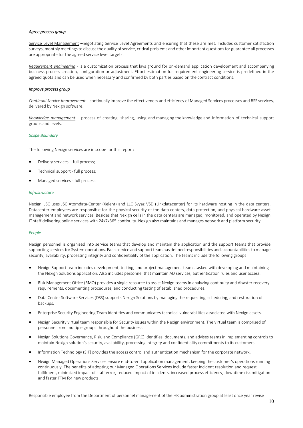#### *Agree process group*

Service Level Management –negotiating Service Level Agreements and ensuring that these are met. Includes customer satisfaction surveys, monthly meetings to discuss the quality of service, critical problems and other important questions for guarantee all processes are appropriate for the agreed service level targets.

*Requirement engineering* ‐ is a customization process that lays ground for on‐demand application development and accompanying business process creation, configuration or adjustment. Effort estimation for requirement engineering service is predefined in the agreed quota and can be used when necessary and confirmed by both parties based on the contract conditions.

#### *Improve process group*

*Continual Service Improvement* – continually improve the effectiveness and efficiency of Managed Services processes and BSS services, delivered by Nexign software.

*Knowledge management* – process of creating, sharing, using and managing the knowledge and information of technical support groups and levels.

#### *Scope Boundary*

The following Nexign services are in scope for this report:

- Delivery services full process;
- Technical support ‐ full process;
- Managed services ‐ full process.

#### *Infrustructure*

Nexign, JSC uses JSC Atomdata‐Center (Xelent) and LLC Svyaz VSD (Linxdatacenter) for its hardware hosting in the data centers. Datacenter employees are responsible for the physical security of the data centers, data protection, and physical hardware asset management and network services. Besides that Nexign cells in the data centers are managed, monitored, and operated by Nexign IT staff delivering online services with 24x7x365 continuity. Nexign also maintains and manages network and platform security.

#### *People*

Nexign personnel is organized into service teams that develop and maintain the application and the support teams that provide supporting servicesfor System operations. Each service and support team has defined responsibilities and accountabilitiesto manage security, availability, processing integrity and confidentiality of the application. The teams include the following groups:

- Nexign Support team includes development, testing, and project management teams tasked with developing and maintaining the Nexign Solutions application. Also includes personnel that maintain AD services, authentication rules and user access.
- Risk Management Office (RMO) provides a single resource to assist Nexign teams in analyzing continuity and disaster recovery requirements, documenting procedures, and conducting testing of established procedures.
- Data Center Software Services (DSS) supports Nexign Solutions by managing the requesting, scheduling, and restoration of backups.
- Enterprise Security Engineering Team identifies and communicates technical vulnerabilities associated with Nexign assets.
- Nexign Security virtual team responsible for Security issues within the Nexign environment. The virtual team is comprised of personnel from multiple groups throughout the business.
- Nexign Solutions Governance, Risk, and Compliance (GRC) identifies, documents, and advises teams in implementing controls to maintain Nexign solution's security, availability, processing integrity and confidentiality commitments to its customers.
- Information Technology (SIT) provides the access control and authentication mechanism for the corporate network.
- Nexign Managed Operations Services ensure end‐to‐end application management, keeping the customer's operations running continuously. The benefits of adopting our Managed Operations Services include faster incident resolution and request fulfilment, minimized impact of staff error, reduced impact of incidents, increased process efficiency, downtime risk mitigation and faster TTM for new products.

Responsible employee from the Department of personnel management of the HR administration group at least once year revise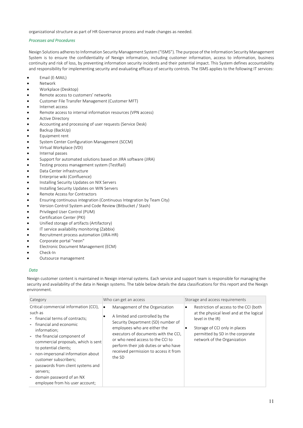organizational structure as part of HR Governance process and made changes as needed.

#### *Processes and Procedures*

Nexign Solutions adheresto Information Security Management System ("ISMS"). The purpose of the Information Security Management System is to ensure the confidentiality of Nexign information, including customer information, access to information, business continuity and risk of loss, by preventing information security incidents and their potential impact. This System defines accountability and responsibility for implementing security and evaluating efficacy of security controls. The ISMS applies to the following IT services:

- Email (E‐MAIL)
- Network
- Workplace (Desktop)
- Remote access to customers' networks
- Customer File Transfer Management (Customer MFT)
- Internet access
- Remote access to internal information resources (VPN access)
- Active Directory
- Accounting and processing of user requests (Service Desk)
- Backup (BackUp)
- Equipment rent
- System Center Configuration Management (SCCM)
- Virtual Workplace (VDI)
- Internal passes
- Support for automated solutions based on JIRA software (JIRA)
- Testing process management system (TestRail)
- Data Center infrastructure
- Enterprise wiki (Confluence)
- Installing Security Updates on NIX Servers
- Installing Security Updates on WIN Servers
- Remote Access for Contractors
- Ensuring continuous integration (Continuous Integration by Team City)
- Version Control System and Code Review (Bitbucket / Stash)
- Privileged User Control (PUM)
- Certification Center (PKI)
- Unified storage of artifacts (Artifactory)
- IT service availability monitoring (Zabbix)
- Recruitment process automation (JIRA‐HR)
- Corporate portal "neon"
- Electronic Document Management (ECM)
- Check‐In
- Outsource management

#### *Data*

Nexign customer content is maintained in Nexign internal systems. Each service and support team is responsible for managing the security and availability of the data in Nexign systems. The table below details the data classifications for this report and the Nexign environment.

| Category                                                                                                                                                                                                                                                                                                                                                                                                                        | Who can get an access                                                                                                                                                                                                                                                                                               | Storage and access requirements                                                                                                                                                                                      |
|---------------------------------------------------------------------------------------------------------------------------------------------------------------------------------------------------------------------------------------------------------------------------------------------------------------------------------------------------------------------------------------------------------------------------------|---------------------------------------------------------------------------------------------------------------------------------------------------------------------------------------------------------------------------------------------------------------------------------------------------------------------|----------------------------------------------------------------------------------------------------------------------------------------------------------------------------------------------------------------------|
| Critical commercial information (CCI),<br>such as<br>- financial terms of contracts;<br>- financial and economic<br>information;<br>- the financial component of<br>commercial proposals, which is sent<br>to potential clients;<br>non-impersonal information about<br>$\blacksquare$<br>customer subscribers;<br>passwords from client systems and<br>servers;<br>domain password of an NX<br>employee from his user account; | Management of the Organization<br>٠<br>A limited and controlled by the<br>Security Department (SD) number of<br>employees who are either the<br>executors of documents with the CCI,<br>or who need access to the CCI to<br>perform their job duties or who have<br>received permission to access it from<br>the SD | Restriction of access to the CCI (both<br>٠<br>at the physical level and at the logical<br>level in the IR)<br>Storage of CCI only in places<br>٠<br>permitted by SD in the corporate<br>network of the Organization |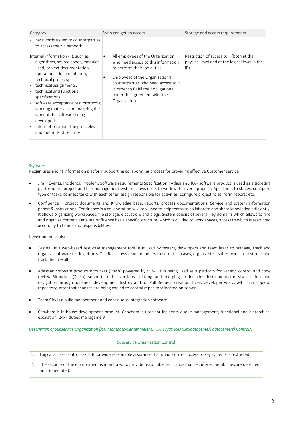| Category                                                                                                                                                                                                                                                                                                                                                                                                                                                                                                                 | Who can get an access                                                                                                                                                                                                                                                                          | Storage and access requirements                                                                   |
|--------------------------------------------------------------------------------------------------------------------------------------------------------------------------------------------------------------------------------------------------------------------------------------------------------------------------------------------------------------------------------------------------------------------------------------------------------------------------------------------------------------------------|------------------------------------------------------------------------------------------------------------------------------------------------------------------------------------------------------------------------------------------------------------------------------------------------|---------------------------------------------------------------------------------------------------|
| passwords issued to counterparties<br>to access the NX network.                                                                                                                                                                                                                                                                                                                                                                                                                                                          |                                                                                                                                                                                                                                                                                                |                                                                                                   |
| Internal information (II), such as<br>- algorithms, source codes, modules<br>used, project documentation,<br>operational documentation;<br>- technical projects;<br>- technical assignments;<br>technical and functional<br>specifications;<br>software acceptance test protocols;<br>$\overline{\phantom{a}}$<br>working materials for analyzing the<br>$\overline{\phantom{a}}$<br>work of the software being<br>developed;<br>information about the principles<br>$\overline{\phantom{a}}$<br>and methods of security | All employees of the Organization<br>$\bullet$<br>who need access to this information<br>to perform their job duties;<br>Employees of the Organization's<br>٠<br>counterparties who need access to it<br>in order to fulfill their obligations<br>under the agreement with the<br>Organization | Restriction of access to II (both at the<br>physical level and at the logical level in the<br>IR) |

#### *Software*

Nexign uses a joint information platform supporting collaborating process for providing effective Customer service

- Jira Events, Incidents, Problem, Software requirements Specification «Atlassian JIRA» software product is used as a ticketing platform. Jira project and task management system allows users to work with several projects. Split them to stages, configure type of tasks, connect tasks with each other, assign responsible for activities, configure project roles, form reports etc.
- Confluence project documents and Knowledge base, reports, process documentations, Service and system information papers& instructions. Confluence is a collaboration wiki tool used to help teams to collaborate and share knowledge efficiently. It allows organizing workspaces, file storage, discussion, and blogs. System consist of several key domains which allows to find and organize content. Data in Confluence has a specific structure, which is divided to work spaces, access to which is restricted according to teams and responsibilities.

#### Development tools:

- TestRail is a web-based test case management tool. It is used by testers, developers and team leads to manage, track and organize software testing efforts. TestRail allows team members to enter test cases, organize test suites, execute test runs and track their results.
- Atlassian software product Bitbucket (Stash) powered by VCS‐GIT is being used as a platform for version control and code review. Bitbucket (Stash) supports quick versions splitting and merging, it includes instruments for visualization and navigation through nonlinear development history and for Pull Request creation. Every developer works with local copy of repository, after that changes are being copied to central repository located on server.
- Team City is a build management and continuous integration software.
- Capybara is in‐house development product. Capybara is used for incidents queue management, functional and hierarchical escalation, 24x7 duties management.

#### Description of Subservice Organization (JSC Atomdata-Center (Xelent), LLC Svyaz VSD (Linxdatacenter) datacenters) Controls:

| <b>Subservice Organization Control</b>                                                                                                     |
|--------------------------------------------------------------------------------------------------------------------------------------------|
| Logical access controls exist to provide reasonable assurance that unauthorized access to key systems is restricted.                       |
| The security of the environment is monitored to provide reasonable assurance that security vulnerabilities are detected<br>and remediated. |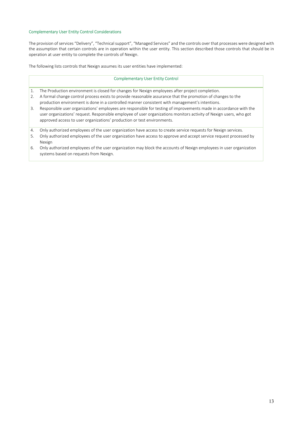### Complementary User Entity Control Considerations

The provision of services "Delivery", "Technical support", "Managed Services" and the controls over that processes were designed with the assumption that certain controls are in operation within the user entity. This section described those controls that should be in operation at user entity to complete the controls of Nexign.

The following lists controls that Nexign assumes its user entities have implemented:

#### Complementary User Entity Control

- 1. The Production environment is closed for changes for Nexign employees after project completion.
- 2. A formal change control process exists to provide reasonable assurance that the promotion of changes to the production environment is done in a controlled manner consistent with management's intentions.
- 3. Responsible user organizations' employees are responsible for testing of improvements made in accordance with the user organizations' request. Responsible employee of user organizations monitors activity of Nexign users, who got approved access to user organizations' production or test environments.
- 4. Only authorized employees of the user organization have access to create service requests for Nexign services.
- 5. Only authorized employees of the user organization have access to approve and accept service request processed by Nexign
- 6. Only authorized employees of the user organization may block the accounts of Nexign employees in user organization systems based on requests from Nexign.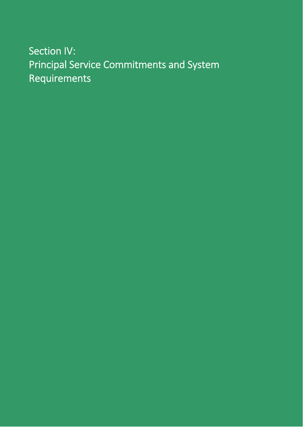# Section IV: Principal Service Commitments and System Requirements